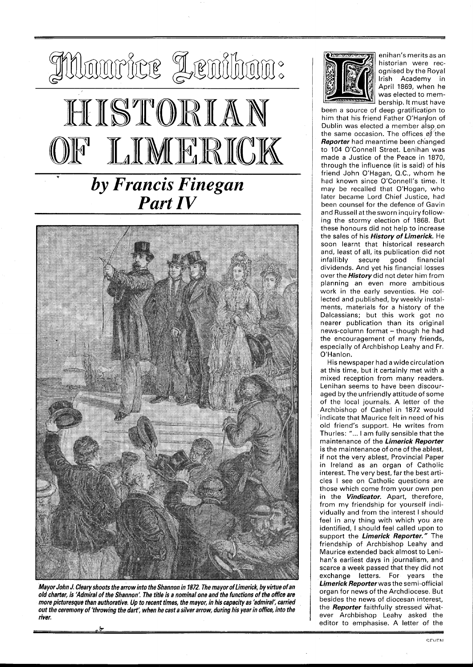



**Mayor John J. Cleary shoots the arrow into the Shannon in 1872, The mayor of Limerick, by virtue of an old charter, is 'Admiral of the Shannon'. The title is a nominal one and the functions of the office are more picturesque than authorative. Up to recent times, the mayor, in his capacity as 'admiral; carried out the ceremony of 'throwing the dart; when he cast a silver arrow, during his year in office, into the river.** 



enihan's merits as an historian were recognised by the Royal Irish Academy in April 1869, when he was elected to membership. It must have

been a source of deep gratificatipn to him that his friend Father O'Hanon of Dublin was elected a member also on the same occasion. The offices of'the **Reporter** had meantime been ch'anged to 104 O'Connell Street. Lenihan was made a Justice of the Peace in 1870, through the influence (it is said) of his friend John O'Hagan, Q.C., whom he had known since O'Connell's time. It may be recalled that O'Hogan, who later became Lord Chief Justice, had been counsel for the defence of Gavin and Russell atthesworn inquiry following the stormy election of 1868. But these honours did not help to increase the sales of his **History of Limerick.** He soon learnt that historical research and, least of all, its publication did not infallibly secure good financial dividends. And yet his financial losses over the **History** did not deter him from planning an even more ambitious work in the early seventies. He collected and published, by weekly instalments, materials for a history of the Dalcassians; but this work got no nearer publication than its original news-column format - though he had the encouragement of many friends, especially of Archbishop Leahy and Fr. O'Hanlon.

His newspaper had a wide circulation at this time, but it certainly met with a mixed reception from many readers. Lenihan seems to have been discouraged by the unfriendly attitude of some of the local journals. A letter of the Archbishop of Cashel in 1872 would indicate that Maurice felt in need of his old friend's support. He writes from Thurles: " ... I am fully sensible that the maintenance of the **Limerick Reporter**  is the maintenance of one of the ablest, if not the very ablest, Provincial Paper in Ireland as an organ of Catholic interest. The very best, far the best articles I see on Catholic questions are those which come from your own pen in the **Vindicator.** Apart, therefore, from my friendship for yourself individually and from the interest I should feel in any thing with which you are identified, I should feel called upon to support the **Limerick Reporter."** The friendship of Archbishop Leahy and Maurice extended back almost to Lenihan's earliest days in journalism, and scarce a week passed that they did not exchange letters. For years the **Limerick Reporterwas** the semi-official organ for news of the Archdiocese. But besides the news of diocesan interest, the **Reporter** faithfully stressed whatever Archbishop Leahy asked the editor to emphasise. A letter of the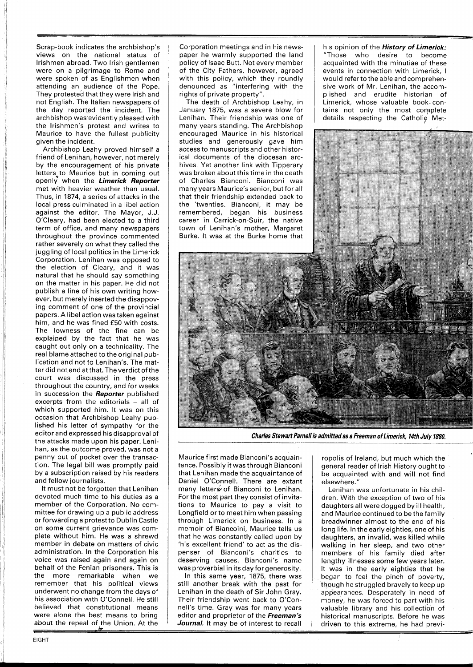Scrap-book indicates the archbishop's views on the national status of Irishmen abroad. Two lrish gentlemen were on a pilgrimage to Rome and were spoken of as Englishmen when attending an audience of the Pope. They protested that they were lrish and not English. The Italian newspapers of the day reported the incident. The archbishop was evidently pleased with the Irishmen's protest and writes to Maurice to have the fullest publicity given the incident.

Archbishop Leahy proved himself a friend of Lenihan, however, not merely by the encouragement of his private letters to Maurice but in coming out openly when the **Limerick Reporter** met with heavier weather than usual. Thus, in 1874, a series of attacks in the local press culminated in a libel action against the editor. The Mayor, J.J. O'Cleary, had been elected to a third term of office, and many newspapers throughout the province commented rather severely on what they called the juggling of local politics in the Limerick Corporation. Lenihan was opposed to the election of Cleary, and it was natural that he should say something on the matter in his paper. He did not publish a line of his own writing however, but merely inserted the disappoving comment of one of the provincial papers. A libel action was taken against him, and he was fined £50 with costs. The lowness of the fine can be explained by the fact that he was caught out only on a technicality. The real blame attached to the original publication and not to Lenihan's. The matter did not end at that. The verdict of the court was discussed in the press throughout the country, and for weeks in succession the **Reporter** published excerpts from the editorials - all of which supported him. It was on this occasion that Archbishop Leahy published his letter of sympathy for the editor and expressed his disapproval of the attacks made upon his paper. Lenihan, as the outcome proved, was not a penny out of pocket over the transaction. The legal bill was promptly paid by a subscription raised by his readers and fellow journalists.

It must not be forgotten that Lenihan devoted much time to his duties as a member of the Corporation. No committee for drawing up a public address or forwarding a protest to Dublin Castle on some current grievance was complete without him. He was a shrewd member in debate on matters of civic administration. In the Corporation his voice was raised again and again on behalf of the Fenian prisoners. This is the more remarkable when we remember that his political views underwent no change from the days of his association with O'Connell. He still believed that constitutional means were alone the best means to bring about the repeal of the Union. At the

Corporation meetings and in his newspaper he warmly supported the land policy of lsaac Butt. Not every member of the City Fathers, however, agreed with this policy, which they roundly denounced as "interfering with the rights of private property".

The death of Archbishop Leahy, in January 1875, was a severe blow for Lenihan. Their friendship was one of many years standing. The Archbishop encouraged Maurice in his historical studies and generously gave him access to manuscripts and other historical documents of the diocesan archives. Yet another link with Tipperary was broken about this time in the death of Charles Bianconi. Bianconi was many years Maurice's senior, but for all that their friendship extended back to the 'twenties. Bianconi, it may be remembered, began his business career in Carrick-on-Suir, the native town of Lenihan's mother, Margaret Burke. It was at the Burke home that his opinion of the **History of Limerick:**  "Those who desire to become acquainted with the minutiae of these events in connection with Limerick, I would referto the able and comprehensive work of Mr. Lenihan, the accomplished and erudite historian of Limerick, whose valuable book, contains not only the most complete details respecting the Catholic Met-



**Charles Stewart Parnell is admitted as a Freeman of Limerick, 14th July 1880.** 

Maurice first made Bianconi's acquaintance. Possibly it was through Bianconi that Lenihan made the acquaintance of Daniel O'Connell. There are extant many letters of Bianconi to Lenihan. For the most part they consist of invitations to Maurice to pay a visit to Longfield or to meet him when passing through Limerick on business. In a memoir of Biancoini, Maurice tells us that he was constantly called upon by 'his excellent friend' to act as the dispenser of Bianconi's charities to deserving causes. Bianconi's name was proverbial in its day for generosity.

In this same year, 1875, there was still another break with the past for Lenihan in the death of Sir John Gray. Their friendship went back to O'Connell's time. Gray was for many years editor and proprietor of the **Freeman's Journal.** It may be of interest to recall

ropolis of Ireland, but much which the general reader of Irish History ought to be acquainted with and will not find elsewhere."

Lenihan was unfortunate in his children. With the exception of two of his daughters all were dogged by ill health, and Maurice continued to be the family breadwinner almost to the end of his long life. In the early eighties, one of his daughters, an invalid, was killed while walking in her sleep, and two other members of his family died after lengthy illnesses some few years later. It was in the early eighties that he began to feel the pinch of poverty, though he struggled bravely to keep up appearances. Desperately in need of money, he was forced to part with his valuable library and his collection of historical manuscripts. Before he was driven to this extreme, he had previ- **.b**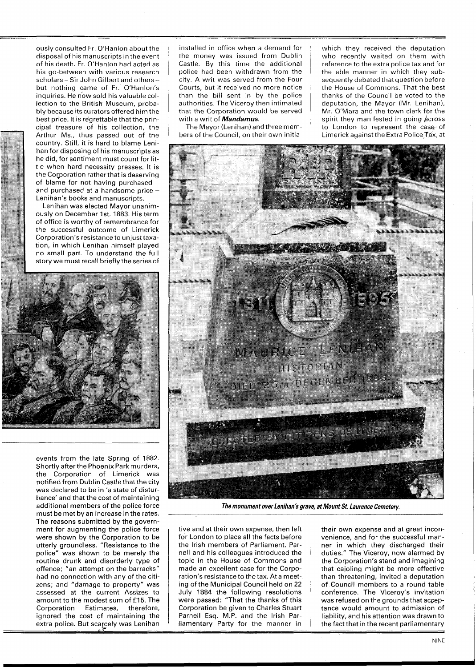ously consulted Fr. O'Hanlon about the disposal of his manuscripts in the event of his death. Fr. O'Hanlon had acted as his go-between with various research scholars - Sir John Gilbert and others but nothing came of Fr. O'Hanlon's inquiries. He now sold his valuable collection to the British Museum, probably because its curators offered him the best price. It is regrettable that the principal treasure of his collection, the Arthur Ms., thus passed out of the country. Still, it is hard to blame Lenihan for disposing of his manuscripts as he did, for sentiment must count for Iittle when hard necessity presses. It is the Corporation rather that is deserving of blame for not having purchased and purchased at a handsome price -Lenihan's books and manuscripts.

Lenihan was elected Mayor unanimously on December 1st. 1883. His term of office is worthy of remembrance for the successful outcome of Limerick Corporation's resistance to unjust taxation, in which Lenihan himself played no small part. To understand the full story we must recall briefly the series of



events from the late Spring of 1882. Shortly after the Phoenix Park murders, the Corporation of Limerick was notified from Dublin Castle that the city was declared to be in 'a state of disturbance' and that the cost of maintaining additional members of the police force must be met by an increase in the rates. The reasons submitted by the government for augmenting the police force were shown by the Corporation to be utterly groundless. "Resistance to the police" was shown to be merely the routine drunk and disorderly type of offence; "an attempt on the barracks" had no connection with any of the citizens; and "damage to property" was assessed at the current Assizes to amount to the modest sum of £15. The Corporation Estimates, therefore, ignored the cost of maintaining the extra police. But scarcely was Lenihan installed in office when a demand for the money was issued from Dublin Castle. By this time the additional police had been withdrawn from the city. A writ was served from the Four Courts, but it received no more notice than the bill sent in by the police authorities. The Viceroy then intimated that the Corporation would be served with a writ of **Mandamus.** 

The Mayor (Lenihan) and three members of the Council, on their own initiawhich they received the deputation who recently waited on them with reference to the extra police tax and for the able manner in which they subsequently debated that question before the House of Commons. That the best thanks of the Council be voted to the deputation, the Mayor (Mr. Lenihan), Mr. O'Mara and the town clerk for the spirit they manifested in going  $\phi$  cross to London to represent the case of Limerick against the Extra Police Tax, at



**The monument over Lenihan's grave, at Mount St. Laurence Cemetery.** 

tive and at their own expense, then left for London to place all the facts before the lrish members of Parliament. Parnell and his colleagues introduced the topic in the House of Commons and made an excellent case for the Corporation's resistance to the tax. At a meeting of the Municipal Council held on 22 July 1884 the following resolutions were passed: "That the thanks of this Corporation be given to Charles Stuart Parnell Esq. M.P. and the lrish Parliamentary Party for the manner in

their own expense and at great inconvenience, and for the successful manner in which they discharged their duties." The Viceroy, now alarmed by the Corporation's stand and imagining that cajoling might be more effective than threatening, invited a deputation of Council members to a round table conference. The Viceroy's invitation was refused on the grounds that acceptance would amount to admission of liability, and his attention was drawn to the fact that in the recent parliamentary